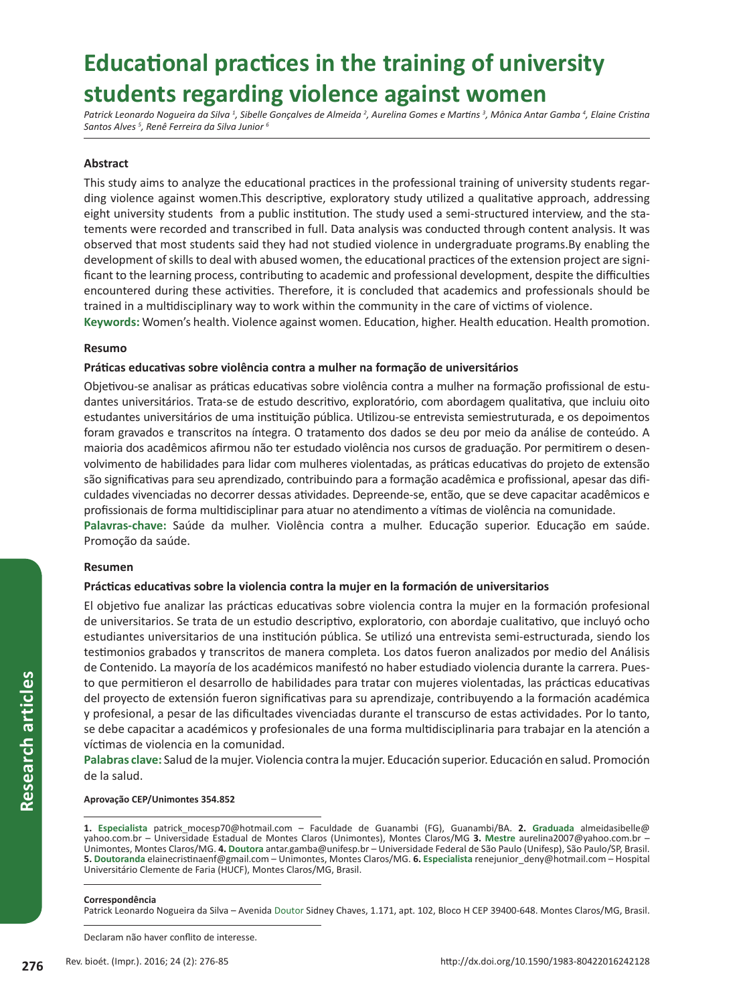# **Educational practices in the training of university students regarding violence against women**

Patrick Leonardo Nogueira da Silva <sup>1</sup>, Sibelle Gonçalves de Almeida <sup>2</sup>, Aurelina Gomes e Martins <sup>3</sup>, Mônica Antar Gamba <sup>4</sup>, Elaine Cristina *Santos Alves 5 , Renê Ferreira da Silva Junior <sup>6</sup>*

# **Abstract**

This study aims to analyze the educational practices in the professional training of university students regarding violence against women.This descriptive, exploratory study utilized a qualitative approach, addressing eight university students from a public institution. The study used a semi-structured interview, and the statements were recorded and transcribed in full. Data analysis was conducted through content analysis. It was observed that most students said they had not studied violence in undergraduate programs.By enabling the development of skills to deal with abused women, the educational practices of the extension project are significant to the learning process, contributing to academic and professional development, despite the difficulties encountered during these activities. Therefore, it is concluded that academics and professionals should be trained in a multidisciplinary way to work within the community in the care of victims of violence.

**Keywords:** Women's health. Violence against women. Education, higher. Health education. Health promotion.

## **Resumo**

## **Práticas educativas sobre violência contra a mulher na formação de universitários**

Objetivou-se analisar as práticas educativas sobre violência contra a mulher na formação profissional de estudantes universitários. Trata-se de estudo descritivo, exploratório, com abordagem qualitativa, que incluiu oito estudantes universitários de uma instituição pública. Utilizou-se entrevista semiestruturada, e os depoimentos foram gravados e transcritos na íntegra. O tratamento dos dados se deu por meio da análise de conteúdo. A maioria dos acadêmicos afirmou não ter estudado violência nos cursos de graduação. Por permitirem o desenvolvimento de habilidades para lidar com mulheres violentadas, as práticas educativas do projeto de extensão são significativas para seu aprendizado, contribuindo para a formação acadêmica e profissional, apesar das dificuldades vivenciadas no decorrer dessas atividades. Depreende-se, então, que se deve capacitar acadêmicos e profissionais de forma multidisciplinar para atuar no atendimento a vítimas de violência na comunidade. **Palavras-chave:** Saúde da mulher. Violência contra a mulher. Educação superior. Educação em saúde. Promoção da saúde.

## **Resumen**

## **Prácticas educativas sobre la violencia contra la mujer en la formación de universitarios**

El objetivo fue analizar las prácticas educativas sobre violencia contra la mujer en la formación profesional de universitarios. Se trata de un estudio descriptivo, exploratorio, con abordaje cualitativo, que incluyó ocho estudiantes universitarios de una institución pública. Se utilizó una entrevista semi-estructurada, siendo los testimonios grabados y transcritos de manera completa. Los datos fueron analizados por medio del Análisis de Contenido. La mayoría de los académicos manifestó no haber estudiado violencia durante la carrera. Puesto que permitieron el desarrollo de habilidades para tratar con mujeres violentadas, las prácticas educativas del proyecto de extensión fueron significativas para su aprendizaje, contribuyendo a la formación académica y profesional, a pesar de las dificultades vivenciadas durante el transcurso de estas actividades. Por lo tanto, se debe capacitar a académicos y profesionales de una forma multidisciplinaria para trabajar en la atención a víctimas de violencia en la comunidad.

**Palabras clave:** Salud de la mujer. Violencia contra la mujer. Educación superior. Educación en salud. Promoción de la salud.

#### **Aprovação CEP/Unimontes 354.852**

**1. Especialista** patrick\_mocesp70@hotmail.com – Faculdade de Guanambi (FG), Guanambi/BA. **2. Graduada** almeidasibelle@ yahoo.com.br – Universidade Estadual de Montes Claros (Unimontes), Montes Claros/MG **3. Mestre** aurelina2007@yahoo.com.br – Unimontes, Montes Claros/MG. **4. Doutora** antar.gamba@unifesp.br – Universidade Federal de São Paulo (Unifesp), São Paulo/SP, Brasil. **5. Doutoranda** elainecristinaenf@gmail.com – Unimontes, Montes Claros/MG. **6. Especialista** renejunior\_deny@hotmail.com – Hospital Universitário Clemente de Faria (HUCF), Montes Claros/MG, Brasil.

#### **Correspondência**

Patrick Leonardo Nogueira da Silva – Avenida Doutor Sidney Chaves, 1.171, apt. 102, Bloco H CEP 39400-648. Montes Claros/MG, Brasil.

Declaram não haver conflito de interesse.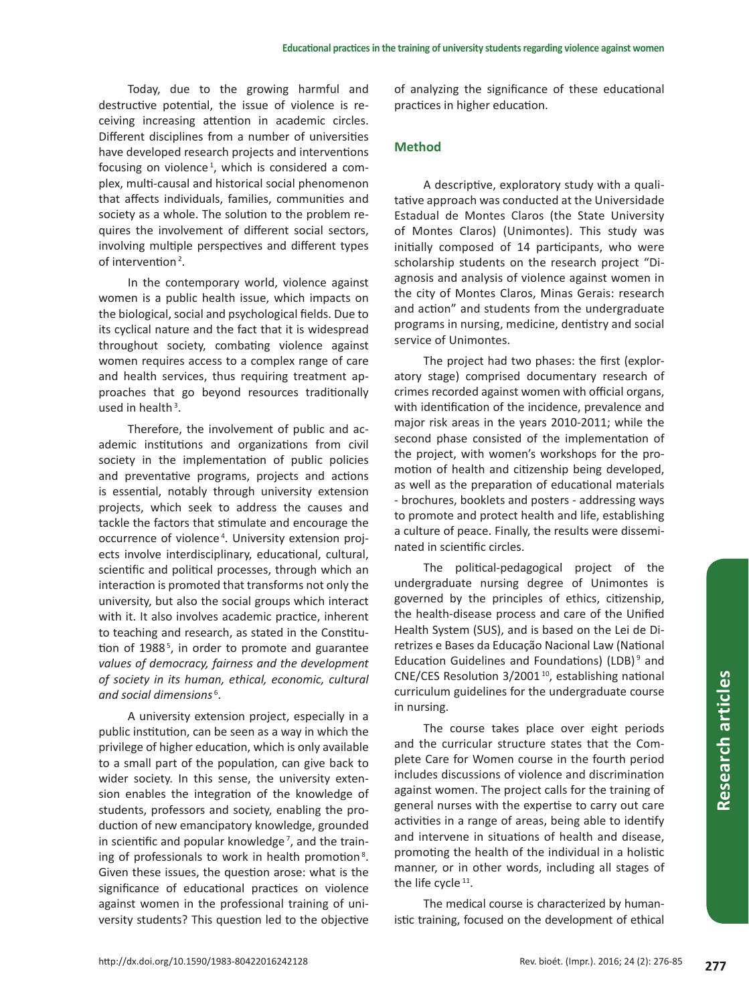Today, due to the growing harmful and destructive potential, the issue of violence is receiving increasing attention in academic circles. Different disciplines from a number of universities have developed research projects and interventions focusing on violence<sup>1</sup>, which is considered a complex, multi-causal and historical social phenomenon that affects individuals, families, communities and society as a whole. The solution to the problem requires the involvement of different social sectors, involving multiple perspectives and different types of intervention<sup>2</sup>.

In the contemporary world, violence against women is a public health issue, which impacts on the biological, social and psychological fields. Due to its cyclical nature and the fact that it is widespread throughout society, combating violence against women requires access to a complex range of care and health services, thus requiring treatment approaches that go beyond resources traditionally used in health $3$ .

Therefore, the involvement of public and academic institutions and organizations from civil society in the implementation of public policies and preventative programs, projects and actions is essential, notably through university extension projects, which seek to address the causes and tackle the factors that stimulate and encourage the occurrence of violence<sup>4</sup>. University extension projects involve interdisciplinary, educational, cultural, scientific and political processes, through which an interaction is promoted that transforms not only the university, but also the social groups which interact with it. It also involves academic practice, inherent to teaching and research, as stated in the Constitution of 1988<sup>5</sup>, in order to promote and guarantee *values of democracy, fairness and the development of society in its human, ethical, economic, cultural and social dimensions* <sup>6</sup> .

A university extension project, especially in a public institution, can be seen as a way in which the privilege of higher education, which is only available to a small part of the population, can give back to wider society. In this sense, the university extension enables the integration of the knowledge of students, professors and society, enabling the production of new emancipatory knowledge, grounded in scientific and popular knowledge<sup>7</sup>, and the training of professionals to work in health promotion<sup>8</sup>. Given these issues, the question arose: what is the significance of educational practices on violence against women in the professional training of university students? This question led to the objective of analyzing the significance of these educational practices in higher education.

# **Method**

A descriptive, exploratory study with a qualitative approach was conducted at the Universidade Estadual de Montes Claros (the State University of Montes Claros) (Unimontes). This study was initially composed of 14 participants, who were scholarship students on the research project "Diagnosis and analysis of violence against women in the city of Montes Claros, Minas Gerais: research and action" and students from the undergraduate programs in nursing, medicine, dentistry and social service of Unimontes.

The project had two phases: the first (exploratory stage) comprised documentary research of crimes recorded against women with official organs, with identification of the incidence, prevalence and major risk areas in the years 2010-2011; while the second phase consisted of the implementation of the project, with women's workshops for the promotion of health and citizenship being developed, as well as the preparation of educational materials - brochures, booklets and posters - addressing ways to promote and protect health and life, establishing a culture of peace. Finally, the results were disseminated in scientific circles.

The political-pedagogical project of the undergraduate nursing degree of Unimontes is governed by the principles of ethics, citizenship, the health-disease process and care of the Unified Health System (SUS), and is based on the Lei de Diretrizes e Bases da Educação Nacional Law (National Education Guidelines and Foundations) (LDB)<sup>9</sup> and CNE/CES Resolution 3/2001 10, establishing national curriculum guidelines for the undergraduate course in nursing.

The course takes place over eight periods and the curricular structure states that the Complete Care for Women course in the fourth period includes discussions of violence and discrimination against women. The project calls for the training of general nurses with the expertise to carry out care activities in a range of areas, being able to identify and intervene in situations of health and disease, promoting the health of the individual in a holistic manner, or in other words, including all stages of the life cycle  $11$ .

The medical course is characterized by humanistic training, focused on the development of ethical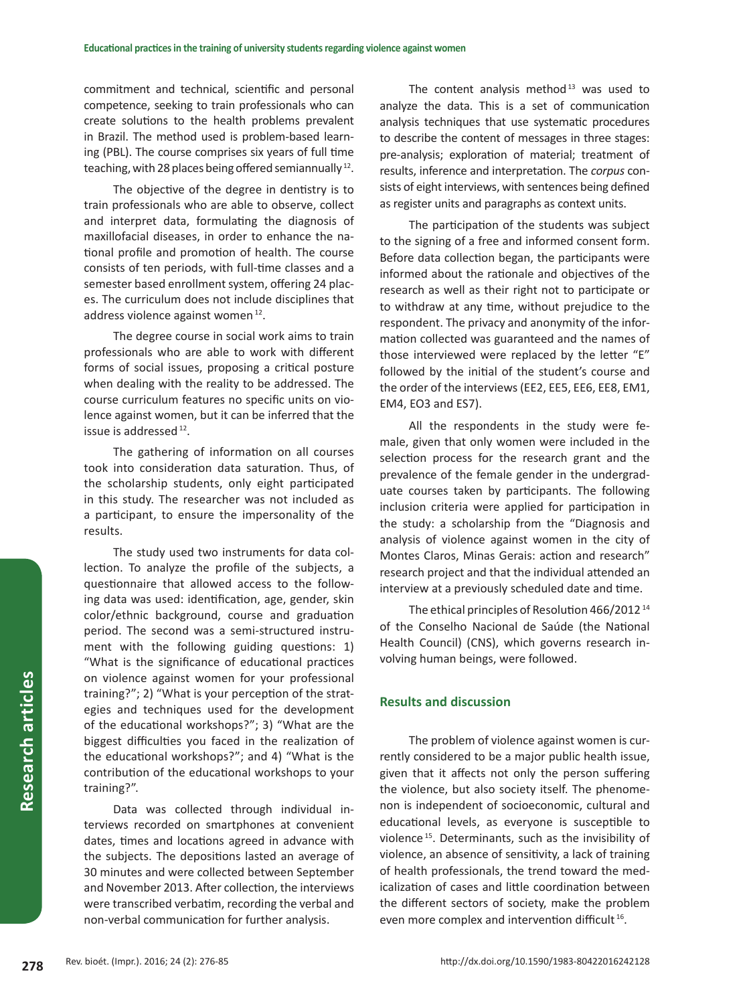commitment and technical, scientific and personal competence, seeking to train professionals who can create solutions to the health problems prevalent in Brazil. The method used is problem-based learning (PBL). The course comprises six years of full time teaching, with 28 places being offered semiannually<sup>12</sup>.

The objective of the degree in dentistry is to train professionals who are able to observe, collect and interpret data, formulating the diagnosis of maxillofacial diseases, in order to enhance the national profile and promotion of health. The course consists of ten periods, with full-time classes and a semester based enrollment system, offering 24 places. The curriculum does not include disciplines that address violence against women<sup>12</sup>.

The degree course in social work aims to train professionals who are able to work with different forms of social issues, proposing a critical posture when dealing with the reality to be addressed. The course curriculum features no specific units on violence against women, but it can be inferred that the issue is addressed  $12$ .

The gathering of information on all courses took into consideration data saturation. Thus, of the scholarship students, only eight participated in this study. The researcher was not included as a participant, to ensure the impersonality of the results.

The study used two instruments for data collection. To analyze the profile of the subjects, a questionnaire that allowed access to the following data was used: identification, age, gender, skin color/ethnic background, course and graduation period. The second was a semi-structured instrument with the following guiding questions: 1) "What is the significance of educational practices on violence against women for your professional training?"; 2) "What is your perception of the strategies and techniques used for the development of the educational workshops?"; 3) "What are the biggest difficulties you faced in the realization of the educational workshops?"; and 4) "What is the contribution of the educational workshops to your training?".

Data was collected through individual interviews recorded on smartphones at convenient dates, times and locations agreed in advance with the subjects. The depositions lasted an average of 30 minutes and were collected between September and November 2013. After collection, the interviews were transcribed verbatim, recording the verbal and non-verbal communication for further analysis.

The content analysis method $13$  was used to analyze the data. This is a set of communication analysis techniques that use systematic procedures to describe the content of messages in three stages: pre-analysis; exploration of material; treatment of results, inference and interpretation. The *corpus* consists of eight interviews, with sentences being defined as register units and paragraphs as context units.

The participation of the students was subject to the signing of a free and informed consent form. Before data collection began, the participants were informed about the rationale and objectives of the research as well as their right not to participate or to withdraw at any time, without prejudice to the respondent. The privacy and anonymity of the information collected was guaranteed and the names of those interviewed were replaced by the letter "E" followed by the initial of the student's course and the order of the interviews (EE2, EE5, EE6, EE8, EM1, EM4, EO3 and ES7).

All the respondents in the study were female, given that only women were included in the selection process for the research grant and the prevalence of the female gender in the undergraduate courses taken by participants. The following inclusion criteria were applied for participation in the study: a scholarship from the "Diagnosis and analysis of violence against women in the city of Montes Claros, Minas Gerais: action and research" research project and that the individual attended an interview at a previously scheduled date and time.

The ethical principles of Resolution 466/2012<sup>14</sup> of the Conselho Nacional de Saúde (the National Health Council) (CNS), which governs research involving human beings, were followed.

# **Results and discussion**

The problem of violence against women is currently considered to be a major public health issue, given that it affects not only the person suffering the violence, but also society itself. The phenomenon is independent of socioeconomic, cultural and educational levels, as everyone is susceptible to violence 15. Determinants, such as the invisibility of violence, an absence of sensitivity, a lack of training of health professionals, the trend toward the medicalization of cases and little coordination between the different sectors of society, make the problem even more complex and intervention difficult 16.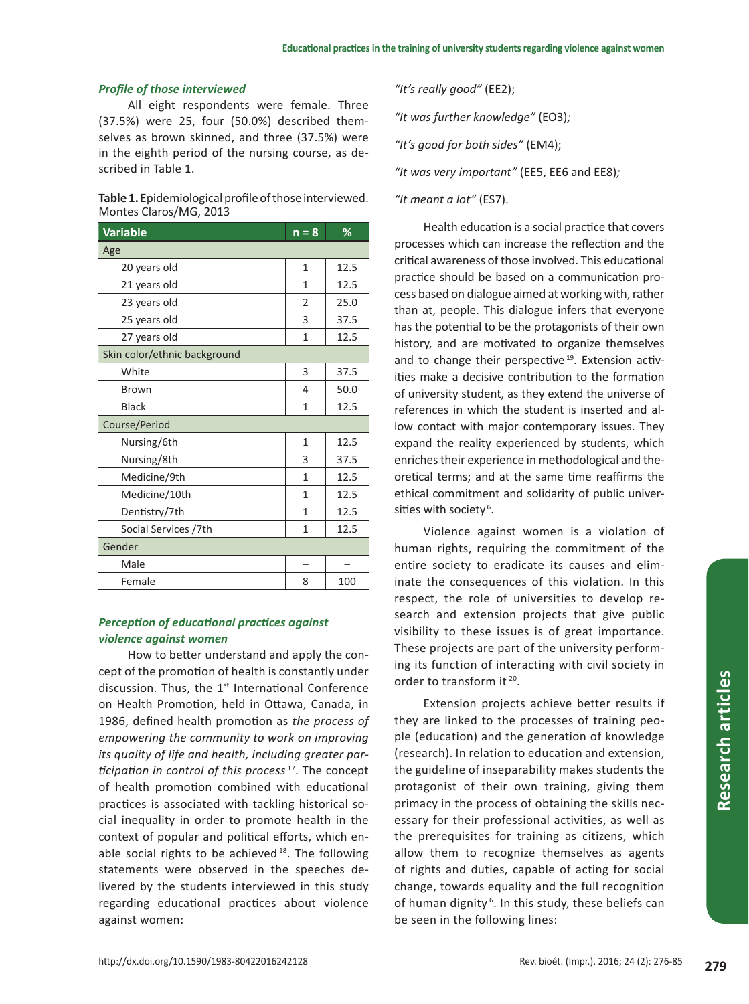## *Profile of those interviewed*

All eight respondents were female. Three (37.5%) were 25, four (50.0%) described themselves as brown skinned, and three (37.5%) were in the eighth period of the nursing course, as described in Table 1.

| <b>Table 1.</b> Epidemiological profile of those interviewed. |
|---------------------------------------------------------------|
| Montes Claros/MG, 2013                                        |

| <b>Variable</b>              | $n = 8$        | %    |
|------------------------------|----------------|------|
| Age                          |                |      |
| 20 years old                 | 1              | 12.5 |
| 21 years old                 | 1              | 12.5 |
| 23 years old                 | $\overline{2}$ | 25.0 |
| 25 years old                 | 3              | 37.5 |
| 27 years old                 | $\mathbf{1}$   | 12.5 |
| Skin color/ethnic background |                |      |
| White                        | 3              | 37.5 |
| <b>Brown</b>                 | 4              | 50.0 |
| <b>Black</b>                 | 1              | 12.5 |
| Course/Period                |                |      |
| Nursing/6th                  | $\mathbf{1}$   | 12.5 |
| Nursing/8th                  | 3              | 37.5 |
| Medicine/9th                 | 1              | 12.5 |
| Medicine/10th                | 1              | 12.5 |
| Dentistry/7th                | 1              | 12.5 |
| Social Services /7th         | 1              | 12.5 |
| Gender                       |                |      |
| Male                         |                |      |
| Female                       | 8              | 100  |

# *Perception of educational practices against violence against women*

How to better understand and apply the concept of the promotion of health is constantly under discussion. Thus, the 1<sup>st</sup> International Conference on Health Promotion, held in Ottawa, Canada, in 1986, defined health promotion as *the process of empowering the community to work on improving its quality of life and health, including greater participation in control of this process*<sup>17</sup>. The concept of health promotion combined with educational practices is associated with tackling historical social inequality in order to promote health in the context of popular and political efforts, which enable social rights to be achieved  $18$ . The following statements were observed in the speeches delivered by the students interviewed in this study regarding educational practices about violence against women:

*"It's really good"* (EE2);

*"It was further knowledge"* (EO3)*;*

*"It's good for both sides"* (EM4);

*"It was very important"* (EE5, EE6 and EE8)*;*

#### *"It meant a lot"* (ES7).

Health education is a social practice that covers processes which can increase the reflection and the critical awareness of those involved. This educational practice should be based on a communication process based on dialogue aimed at working with, rather than at, people. This dialogue infers that everyone has the potential to be the protagonists of their own history, and are motivated to organize themselves and to change their perspective<sup>19</sup>. Extension activities make a decisive contribution to the formation of university student, as they extend the universe of references in which the student is inserted and allow contact with major contemporary issues. They expand the reality experienced by students, which enriches their experience in methodological and theoretical terms; and at the same time reaffirms the ethical commitment and solidarity of public universities with society<sup>6</sup>.

Violence against women is a violation of human rights, requiring the commitment of the entire society to eradicate its causes and eliminate the consequences of this violation. In this respect, the role of universities to develop research and extension projects that give public visibility to these issues is of great importance. These projects are part of the university performing its function of interacting with civil society in order to transform it<sup>20</sup>.

Extension projects achieve better results if they are linked to the processes of training people (education) and the generation of knowledge (research). In relation to education and extension, the guideline of inseparability makes students the protagonist of their own training, giving them primacy in the process of obtaining the skills necessary for their professional activities, as well as the prerequisites for training as citizens, which allow them to recognize themselves as agents of rights and duties, capable of acting for social change, towards equality and the full recognition of human dignity<sup>6</sup>. In this study, these beliefs can be seen in the following lines: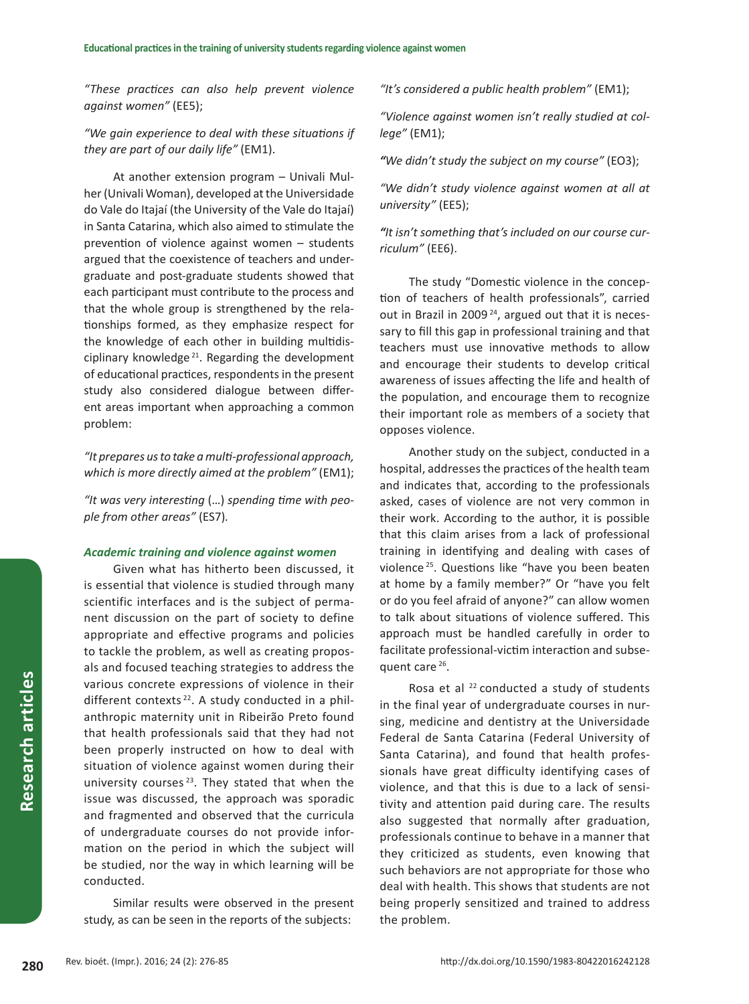*"These practices can also help prevent violence against women"* (EE5);

*"We gain experience to deal with these situations if they are part of our daily life"* (EM1).

At another extension program – Univali Mulher (Univali Woman), developed at the Universidade do Vale do Itajaí (the University of the Vale do Itajaí) in Santa Catarina, which also aimed to stimulate the prevention of violence against women – students argued that the coexistence of teachers and undergraduate and post-graduate students showed that each participant must contribute to the process and that the whole group is strengthened by the relationships formed, as they emphasize respect for the knowledge of each other in building multidisciplinary knowledge<sup>21</sup>. Regarding the development of educational practices, respondents in the present study also considered dialogue between different areas important when approaching a common problem:

*"It prepares us to take a multi-professional approach, which is more directly aimed at the problem"* (EM1);

*"It was very interesting* (…) *spending time with people from other areas"* (ES7)*.*

#### *Academic training and violence against women*

Given what has hitherto been discussed, it is essential that violence is studied through many scientific interfaces and is the subject of permanent discussion on the part of society to define appropriate and effective programs and policies to tackle the problem, as well as creating proposals and focused teaching strategies to address the various concrete expressions of violence in their different contexts  $22$ . A study conducted in a philanthropic maternity unit in Ribeirão Preto found that health professionals said that they had not been properly instructed on how to deal with situation of violence against women during their university courses  $23$ . They stated that when the issue was discussed, the approach was sporadic and fragmented and observed that the curricula of undergraduate courses do not provide information on the period in which the subject will be studied, nor the way in which learning will be conducted.

Similar results were observed in the present study, as can be seen in the reports of the subjects:

*"It's considered a public health problem"* (EM1);

*"Violence against women isn't really studied at college"* (EM1);

*"We didn't study the subject on my course"* (EO3);

*"We didn't study violence against women at all at university"* (EE5);

*"It isn't something that's included on our course curriculum"* (EE6).

The study "Domestic violence in the conception of teachers of health professionals", carried out in Brazil in 2009 24, argued out that it is necessary to fill this gap in professional training and that teachers must use innovative methods to allow and encourage their students to develop critical awareness of issues affecting the life and health of the population, and encourage them to recognize their important role as members of a society that opposes violence.

Another study on the subject, conducted in a hospital, addresses the practices of the health team and indicates that, according to the professionals asked, cases of violence are not very common in their work. According to the author, it is possible that this claim arises from a lack of professional training in identifying and dealing with cases of violence <sup>25</sup>. Questions like "have you been beaten at home by a family member?" Or "have you felt or do you feel afraid of anyone?" can allow women to talk about situations of violence suffered. This approach must be handled carefully in order to facilitate professional-victim interaction and subsequent care<sup>26</sup>.

Rosa et al  $^{22}$  conducted a study of students in the final year of undergraduate courses in nursing, medicine and dentistry at the Universidade Federal de Santa Catarina (Federal University of Santa Catarina), and found that health professionals have great difficulty identifying cases of violence, and that this is due to a lack of sensitivity and attention paid during care. The results also suggested that normally after graduation, professionals continue to behave in a manner that they criticized as students, even knowing that such behaviors are not appropriate for those who deal with health. This shows that students are not being properly sensitized and trained to address the problem.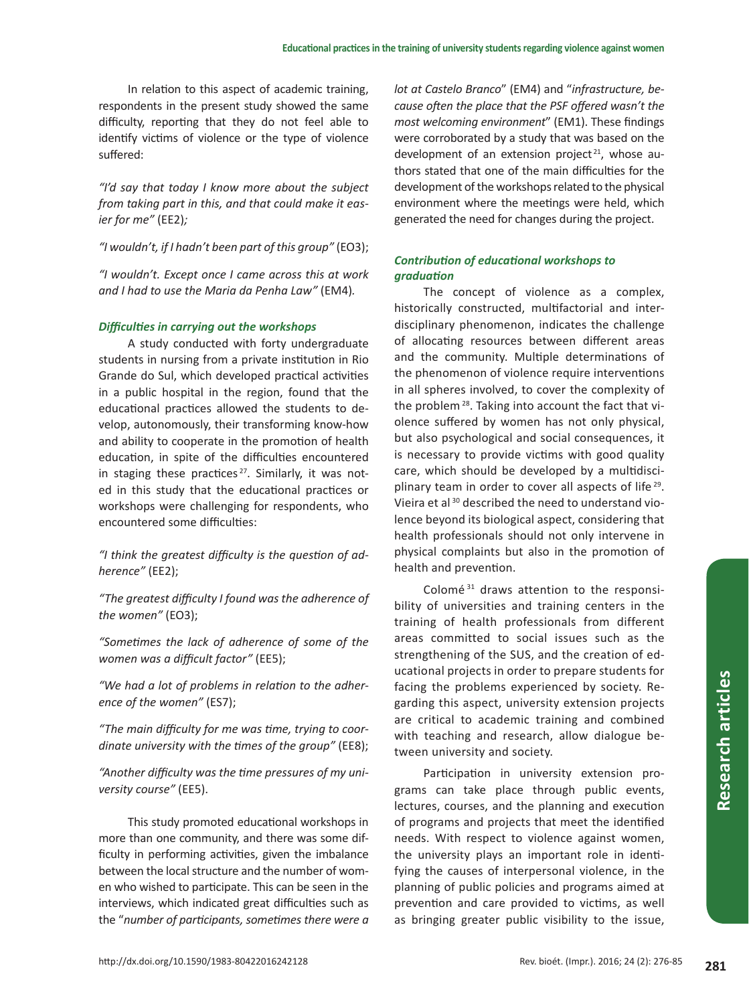In relation to this aspect of academic training, respondents in the present study showed the same difficulty, reporting that they do not feel able to identify victims of violence or the type of violence suffered:

*"I'd say that today I know more about the subject from taking part in this, and that could make it easier for me"* (EE2)*;*

*"I wouldn't, if I hadn't been part of this group"* (EO3);

*"I wouldn't. Except once I came across this at work and I had to use the Maria da Penha Law"* (EM4)*.*

#### *Difficulties in carrying out the workshops*

A study conducted with forty undergraduate students in nursing from a private institution in Rio Grande do Sul, which developed practical activities in a public hospital in the region, found that the educational practices allowed the students to develop, autonomously, their transforming know-how and ability to cooperate in the promotion of health education, in spite of the difficulties encountered in staging these practices<sup>27</sup>. Similarly, it was noted in this study that the educational practices or workshops were challenging for respondents, who encountered some difficulties:

*"I think the greatest difficulty is the question of adherence"* (EE2);

*"The greatest difficulty I found was the adherence of the women"* (EO3);

*"Sometimes the lack of adherence of some of the women was a difficult factor"* (EE5);

*"We had a lot of problems in relation to the adherence of the women"* (ES7);

*"The main difficulty for me was time, trying to coordinate university with the times of the group"* (EE8);

*"Another difficulty was the time pressures of my university course"* (EE5).

This study promoted educational workshops in more than one community, and there was some difficulty in performing activities, given the imbalance between the local structure and the number of women who wished to participate. This can be seen in the interviews, which indicated great difficulties such as the "*number of participants, sometimes there were a*  *lot at Castelo Branco*" (EM4) and "*infrastructure, because often the place that the PSF offered wasn't the most welcoming environment*" (EM1). These findings were corroborated by a study that was based on the development of an extension project<sup>21</sup>, whose authors stated that one of the main difficulties for the development of the workshops related to the physical environment where the meetings were held, which generated the need for changes during the project.

# *Contribution of educational workshops to graduation*

The concept of violence as a complex, historically constructed, multifactorial and interdisciplinary phenomenon, indicates the challenge of allocating resources between different areas and the community. Multiple determinations of the phenomenon of violence require interventions in all spheres involved, to cover the complexity of the problem<sup>28</sup>. Taking into account the fact that violence suffered by women has not only physical, but also psychological and social consequences, it is necessary to provide victims with good quality care, which should be developed by a multidisciplinary team in order to cover all aspects of life<sup>29</sup>. Vieira et al 30 described the need to understand violence beyond its biological aspect, considering that health professionals should not only intervene in physical complaints but also in the promotion of health and prevention.

Colomé<sup>31</sup> draws attention to the responsibility of universities and training centers in the training of health professionals from different areas committed to social issues such as the strengthening of the SUS, and the creation of educational projects in order to prepare students for facing the problems experienced by society. Regarding this aspect, university extension projects are critical to academic training and combined with teaching and research, allow dialogue between university and society.

Participation in university extension programs can take place through public events, lectures, courses, and the planning and execution of programs and projects that meet the identified needs. With respect to violence against women, the university plays an important role in identifying the causes of interpersonal violence, in the planning of public policies and programs aimed at prevention and care provided to victims, as well as bringing greater public visibility to the issue,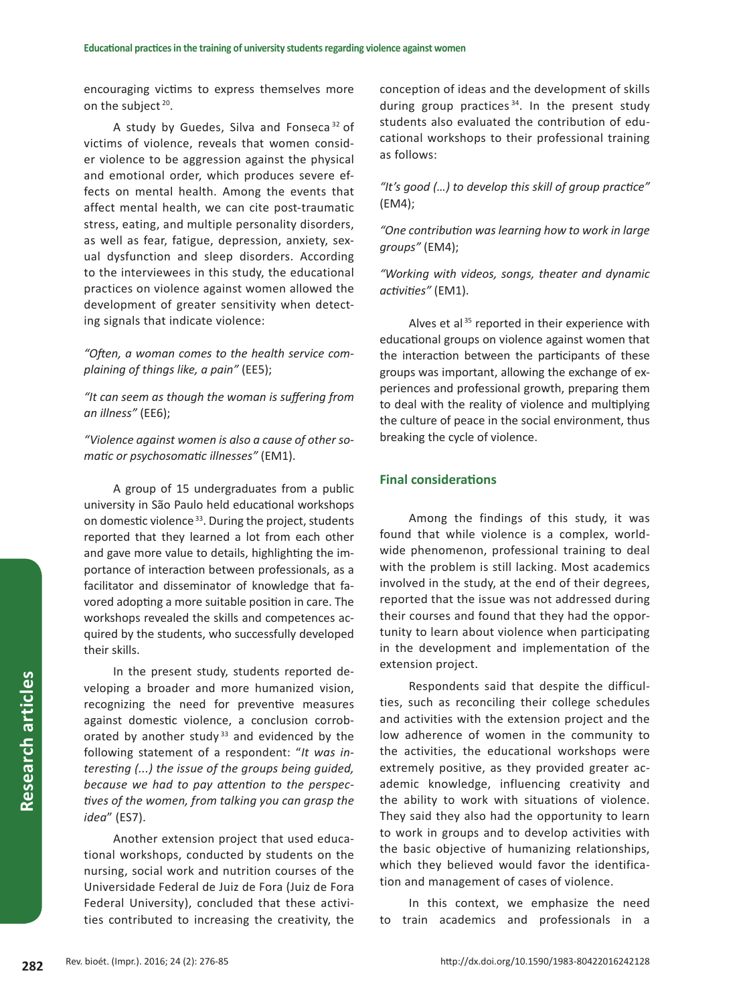encouraging victims to express themselves more on the subject<sup>20</sup>.

A study by Guedes, Silva and Fonseca 32 of victims of violence, reveals that women consider violence to be aggression against the physical and emotional order, which produces severe effects on mental health. Among the events that affect mental health, we can cite post-traumatic stress, eating, and multiple personality disorders, as well as fear, fatigue, depression, anxiety, sexual dysfunction and sleep disorders. According to the interviewees in this study, the educational practices on violence against women allowed the development of greater sensitivity when detecting signals that indicate violence:

*"Often, a woman comes to the health service complaining of things like, a pain"* (EE5);

*"It can seem as though the woman is suffering from an illness"* (EE6);

*"Violence against women is also a cause of other somatic or psychosomatic illnesses"* (EM1).

A group of 15 undergraduates from a public university in São Paulo held educational workshops on domestic violence<sup>33</sup>. During the project, students reported that they learned a lot from each other and gave more value to details, highlighting the importance of interaction between professionals, as a facilitator and disseminator of knowledge that favored adopting a more suitable position in care. The workshops revealed the skills and competences acquired by the students, who successfully developed their skills.

In the present study, students reported developing a broader and more humanized vision, recognizing the need for preventive measures against domestic violence, a conclusion corroborated by another study<sup>33</sup> and evidenced by the following statement of a respondent: "*It was interesting (...) the issue of the groups being guided, because we had to pay attention to the perspectives of the women, from talking you can grasp the idea*" (ES7).

Another extension project that used educational workshops, conducted by students on the nursing, social work and nutrition courses of the Universidade Federal de Juiz de Fora (Juiz de Fora Federal University), concluded that these activities contributed to increasing the creativity, the conception of ideas and the development of skills during group practices<sup> $34$ </sup>. In the present study students also evaluated the contribution of educational workshops to their professional training as follows:

*"It's good (…) to develop this skill of group practice"*  (EM4);

*"One contribution was learning how to work in large groups"* (EM4);

*"Working with videos, songs, theater and dynamic activities"* (EM1).

Alves et al<sup>35</sup> reported in their experience with educational groups on violence against women that the interaction between the participants of these groups was important, allowing the exchange of experiences and professional growth, preparing them to deal with the reality of violence and multiplying the culture of peace in the social environment, thus breaking the cycle of violence.

# **Final considerations**

Among the findings of this study, it was found that while violence is a complex, worldwide phenomenon, professional training to deal with the problem is still lacking. Most academics involved in the study, at the end of their degrees, reported that the issue was not addressed during their courses and found that they had the opportunity to learn about violence when participating in the development and implementation of the extension project.

Respondents said that despite the difficulties, such as reconciling their college schedules and activities with the extension project and the low adherence of women in the community to the activities, the educational workshops were extremely positive, as they provided greater academic knowledge, influencing creativity and the ability to work with situations of violence. They said they also had the opportunity to learn to work in groups and to develop activities with the basic objective of humanizing relationships, which they believed would favor the identification and management of cases of violence.

In this context, we emphasize the need to train academics and professionals in a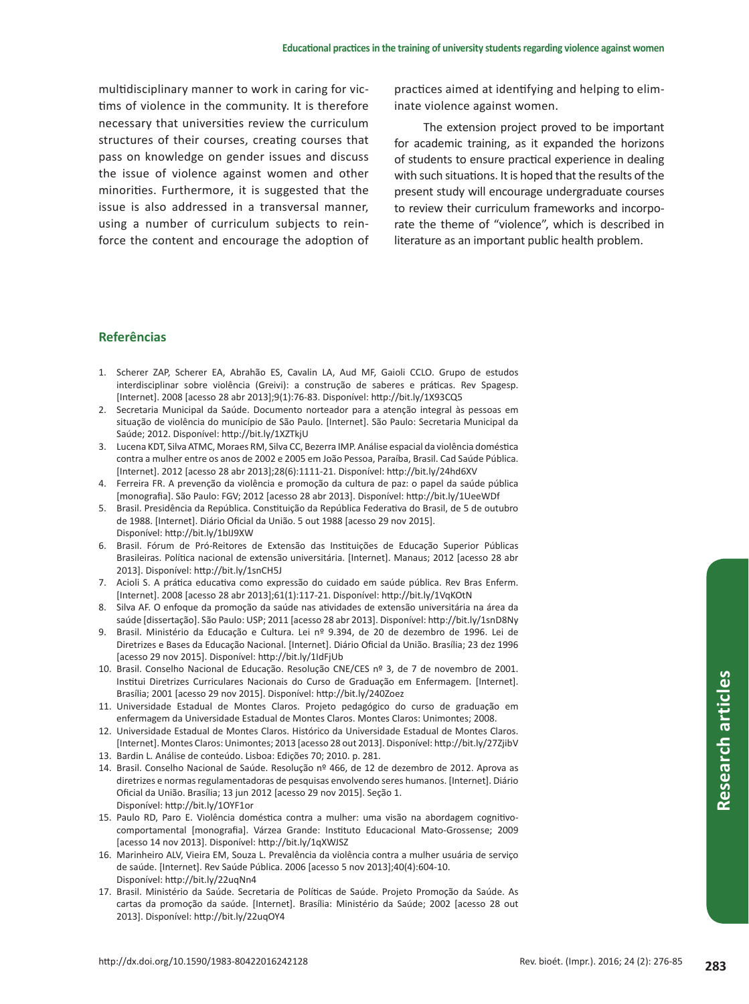multidisciplinary manner to work in caring for victims of violence in the community. It is therefore necessary that universities review the curriculum structures of their courses, creating courses that pass on knowledge on gender issues and discuss the issue of violence against women and other minorities. Furthermore, it is suggested that the issue is also addressed in a transversal manner, using a number of curriculum subjects to reinforce the content and encourage the adoption of practices aimed at identifying and helping to eliminate violence against women.

The extension project proved to be important for academic training, as it expanded the horizons of students to ensure practical experience in dealing with such situations. It is hoped that the results of the present study will encourage undergraduate courses to review their curriculum frameworks and incorporate the theme of "violence", which is described in literature as an important public health problem.

## **Referências**

- 1. Scherer ZAP, Scherer EA, Abrahão ES, Cavalin LA, Aud MF, Gaioli CCLO. Grupo de estudos interdisciplinar sobre violência (Greivi): a construção de saberes e práticas. Rev Spagesp. [Internet]. 2008 [acesso 28 abr 2013];9(1):76-83. Disponível: http://bit.ly/1X93CQ5
- 2. Secretaria Municipal da Saúde. Documento norteador para a atenção integral às pessoas em situação de violência do município de São Paulo. [Internet]. São Paulo: Secretaria Municipal da Saúde; 2012. Disponível: http://bit.ly/1XZTkjU
- 3. Lucena KDT, Silva ATMC, Moraes RM, Silva CC, Bezerra IMP. Análise espacial da violência doméstica contra a mulher entre os anos de 2002 e 2005 em João Pessoa, Paraíba, Brasil. Cad Saúde Pública. [Internet]. 2012 [acesso 28 abr 2013];28(6):1111-21. Disponível: http://bit.ly/24hd6XV
- 4. Ferreira FR. A prevenção da violência e promoção da cultura de paz: o papel da saúde pública [monografia]. São Paulo: FGV; 2012 [acesso 28 abr 2013]. Disponível: http://bit.ly/1UeeWDf
- 5. Brasil. Presidência da República. Constituição da República Federativa do Brasil, de 5 de outubro de 1988. [Internet]. Diário Oficial da União. 5 out 1988 [acesso 29 nov 2015]. Disponível: http://bit.ly/1bIJ9XW
- 6. Brasil. Fórum de Pró-Reitores de Extensão das Instituições de Educação Superior Públicas Brasileiras. Política nacional de extensão universitária. [Internet]. Manaus; 2012 [acesso 28 abr 2013]. Disponível: http://bit.ly/1snCH5J
- 7. Acioli S. A prática educativa como expressão do cuidado em saúde pública. Rev Bras Enferm. [Internet]. 2008 [acesso 28 abr 2013];61(1):117-21. Disponível: http://bit.ly/1VqKOtN
- 8. Silva AF. O enfoque da promoção da saúde nas atividades de extensão universitária na área da saúde [dissertação]. São Paulo: USP; 2011 [acesso 28 abr 2013]. Disponível: http://bit.ly/1snD8Ny
- 9. Brasil. Ministério da Educação e Cultura. Lei nº 9.394, de 20 de dezembro de 1996. Lei de Diretrizes e Bases da Educação Nacional. [Internet]. Diário Oficial da União. Brasília; 23 dez 1996 [acesso 29 nov 2015]. Disponível: http://bit.ly/1IdFjUb
- 10. Brasil. Conselho Nacional de Educação. Resolução CNE/CES nº 3, de 7 de novembro de 2001. Institui Diretrizes Curriculares Nacionais do Curso de Graduação em Enfermagem. [Internet]. Brasília; 2001 [acesso 29 nov 2015]. Disponível: http://bit.ly/240Zoez
- 11. Universidade Estadual de Montes Claros. Projeto pedagógico do curso de graduação em enfermagem da Universidade Estadual de Montes Claros. Montes Claros: Unimontes; 2008.
- 12. Universidade Estadual de Montes Claros. Histórico da Universidade Estadual de Montes Claros. [Internet]. Montes Claros: Unimontes; 2013 [acesso 28 out 2013]. Disponível: http://bit.ly/27ZjibV
- 13. Bardin L. Análise de conteúdo. Lisboa: Edições 70; 2010. p. 281.
- 14. Brasil. Conselho Nacional de Saúde. Resolução nº 466, de 12 de dezembro de 2012. Aprova as diretrizes e normas regulamentadoras de pesquisas envolvendo seres humanos. [Internet]. Diário Oficial da União. Brasília; 13 jun 2012 [acesso 29 nov 2015]. Seção 1. Disponível: http://bit.ly/1OYF1or
- 15. Paulo RD, Paro E. Violência doméstica contra a mulher: uma visão na abordagem cognitivocomportamental [monografia]. Várzea Grande: Instituto Educacional Mato-Grossense; 2009 [acesso 14 nov 2013]. Disponível: http://bit.ly/1qXWJSZ
- 16. Marinheiro ALV, Vieira EM, Souza L. Prevalência da violência contra a mulher usuária de serviço de saúde. [Internet]. Rev Saúde Pública. 2006 [acesso 5 nov 2013];40(4):604-10. Disponível: http://bit.ly/22uqNn4
- 17. Brasil. Ministério da Saúde. Secretaria de Políticas de Saúde. Projeto Promoção da Saúde. As cartas da promoção da saúde. [Internet]. Brasília: Ministério da Saúde; 2002 [acesso 28 out 2013]. Disponível: http://bit.ly/22uqOY4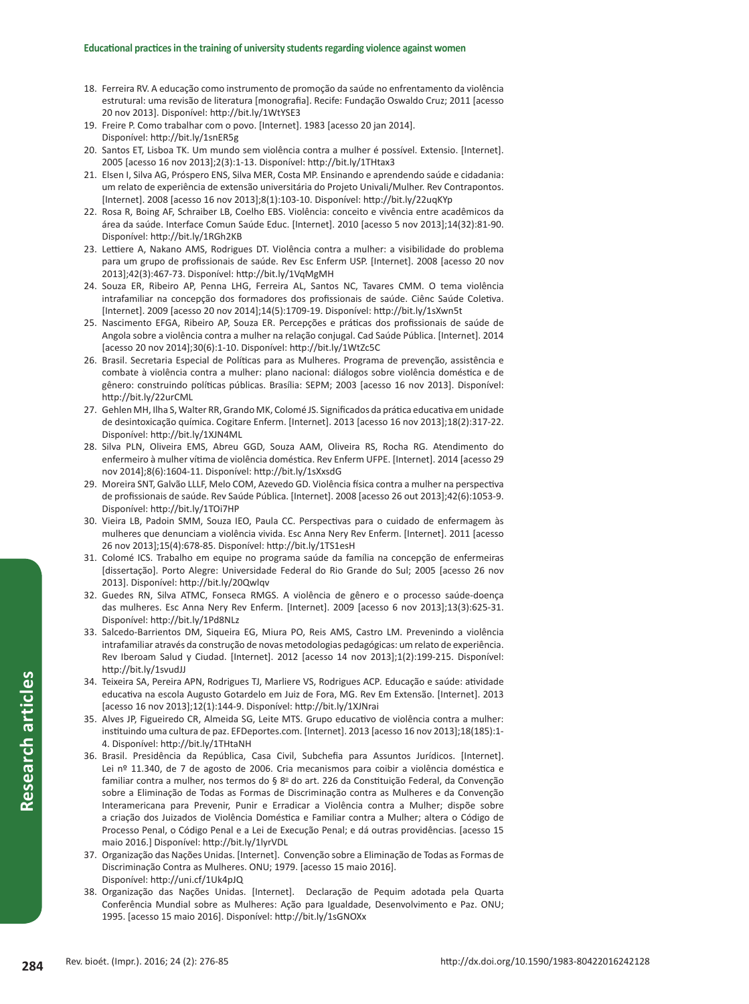- 18. Ferreira RV. A educação como instrumento de promoção da saúde no enfrentamento da violência estrutural: uma revisão de literatura [monografia]. Recife: Fundação Oswaldo Cruz; 2011 [acesso 20 nov 2013]. Disponível: http://bit.ly/1WtYSE3
- 19. Freire P. Como trabalhar com o povo. [Internet]. 1983 [acesso 20 jan 2014]. Disponível: http://bit.ly/1snER5g
- 20. Santos ET, Lisboa TK. Um mundo sem violência contra a mulher é possível. Extensio. [Internet]. 2005 [acesso 16 nov 2013];2(3):1-13. Disponível: http://bit.ly/1THtax3
- 21. Elsen I, Silva AG, Próspero ENS, Silva MER, Costa MP. Ensinando e aprendendo saúde e cidadania: um relato de experiência de extensão universitária do Projeto Univali/Mulher. Rev Contrapontos. [Internet]. 2008 [acesso 16 nov 2013];8(1):103-10. Disponível: http://bit.ly/22uqKYp
- 22. Rosa R, Boing AF, Schraiber LB, Coelho EBS. Violência: conceito e vivência entre acadêmicos da área da saúde. Interface Comun Saúde Educ. [Internet]. 2010 [acesso 5 nov 2013];14(32):81-90. Disponível: http://bit.ly/1RGh2KB
- 23. Lettiere A, Nakano AMS, Rodrigues DT. Violência contra a mulher: a visibilidade do problema para um grupo de profissionais de saúde. Rev Esc Enferm USP. [Internet]. 2008 [acesso 20 nov 2013];42(3):467-73. Disponível: http://bit.ly/1VqMgMH
- 24. Souza ER, Ribeiro AP, Penna LHG, Ferreira AL, Santos NC, Tavares CMM. O tema violência intrafamiliar na concepção dos formadores dos profissionais de saúde. Ciênc Saúde Coletiva. [Internet]. 2009 [acesso 20 nov 2014];14(5):1709-19. Disponível: http://bit.ly/1sXwn5t
- 25. Nascimento EFGA, Ribeiro AP, Souza ER. Percepções e práticas dos profissionais de saúde de Angola sobre a violência contra a mulher na relação conjugal. Cad Saúde Pública. [Internet]. 2014 [acesso 20 nov 2014];30(6):1-10. Disponível: http://bit.ly/1WtZc5C
- 26. Brasil. Secretaria Especial de Políticas para as Mulheres. Programa de prevenção, assistência e combate à violência contra a mulher: plano nacional: diálogos sobre violência doméstica e de gênero: construindo políticas públicas. Brasília: SEPM; 2003 [acesso 16 nov 2013]. Disponível: http://bit.ly/22urCML
- 27. Gehlen MH, Ilha S, Walter RR, Grando MK, Colomé JS. Significados da prática educativa em unidade de desintoxicação química. Cogitare Enferm. [Internet]. 2013 [acesso 16 nov 2013];18(2):317-22. Disponível: http://bit.ly/1XJN4ML
- 28. Silva PLN, Oliveira EMS, Abreu GGD, Souza AAM, Oliveira RS, Rocha RG. Atendimento do enfermeiro à mulher vítima de violência doméstica. Rev Enferm UFPE. [Internet]. 2014 [acesso 29 nov 2014];8(6):1604-11. Disponível: http://bit.ly/1sXxsdG
- 29. Moreira SNT, Galvão LLLF, Melo COM, Azevedo GD. Violência física contra a mulher na perspectiva de profissionais de saúde. Rev Saúde Pública. [Internet]. 2008 [acesso 26 out 2013];42(6):1053-9. Disponível: http://bit.ly/1TOi7HP
- 30. Vieira LB, Padoin SMM, Souza IEO, Paula CC. Perspectivas para o cuidado de enfermagem às mulheres que denunciam a violência vivida. Esc Anna Nery Rev Enferm. [Internet]. 2011 [acesso 26 nov 2013];15(4):678-85. Disponível: http://bit.ly/1TS1esH
- 31. Colomé ICS. Trabalho em equipe no programa saúde da família na concepção de enfermeiras [dissertação]. Porto Alegre: Universidade Federal do Rio Grande do Sul; 2005 [acesso 26 nov 2013]. Disponível: http://bit.ly/20Qwlqv
- 32. Guedes RN, Silva ATMC, Fonseca RMGS. A violência de gênero e o processo saúde-doença das mulheres. Esc Anna Nery Rev Enferm. [Internet]. 2009 [acesso 6 nov 2013];13(3):625-31. Disponível: http://bit.ly/1Pd8NLz
- 33. Salcedo-Barrientos DM, Siqueira EG, Miura PO, Reis AMS, Castro LM. Prevenindo a violência intrafamiliar através da construção de novas metodologias pedagógicas: um relato de experiência. Rev Iberoam Salud y Ciudad. [Internet]. 2012 [acesso 14 nov 2013];1(2):199-215. Disponível: http://bit.ly/1svudJJ
- 34. Teixeira SA, Pereira APN, Rodrigues TJ, Marliere VS, Rodrigues ACP*.* Educação e saúde: atividade educativa na escola Augusto Gotardelo em Juiz de Fora, MG. Rev Em Extensão. [Internet]. 2013 [acesso 16 nov 2013];12(1):144-9. Disponível: http://bit.ly/1XJNrai
- 35. Alves JP, Figueiredo CR, Almeida SG, Leite MTS. Grupo educativo de violência contra a mulher: instituindo uma cultura de paz. EFDeportes.com. [Internet]. 2013 [acesso 16 nov 2013];18(185):1- 4. Disponível: http://bit.ly/1THtaNH
- 36. Brasil. Presidência da República, Casa Civil, Subchefia para Assuntos Jurídicos. [Internet]. Lei nº 11.340, de 7 de agosto de 2006. Cria mecanismos para coibir a violência doméstica e familiar contra a mulher, nos termos do § 8º do art. 226 da Constituição Federal, da Convenção sobre a Eliminação de Todas as Formas de Discriminação contra as Mulheres e da Convenção Interamericana para Prevenir, Punir e Erradicar a Violência contra a Mulher; dispõe sobre a criação dos Juizados de Violência Doméstica e Familiar contra a Mulher; altera o Código de Processo Penal, o Código Penal e a Lei de Execução Penal; e dá outras providências. [acesso 15 maio 2016.] Disponível: http://bit.ly/1lyrVDL
- 37. Organização das Nações Unidas. [Internet]. Convenção sobre a Eliminação de Todas as Formas de Discriminação Contra as Mulheres. ONU; 1979. [acesso 15 maio 2016]. Disponível: http://uni.cf/1Uk4pJQ
- 38. Organização das Nações Unidas. [Internet]. Declaração de Pequim adotada pela Quarta Conferência Mundial sobre as Mulheres: Ação para Igualdade, Desenvolvimento e Paz. ONU; 1995. [acesso 15 maio 2016]. Disponível: http://bit.ly/1sGNOXx